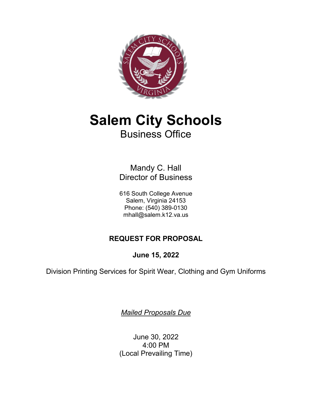

# **Salem City Schools** Business Office

Mandy C. Hall Director of Business

616 South College Avenue Salem, Virginia 24153 Phone: (540) 389-0130 mhall@salem.k12.va.us

## **REQUEST FOR PROPOSAL**

**June 15, 2022**

Division Printing Services for Spirit Wear, Clothing and Gym Uniforms

*Mailed Proposals Due*

June 30, 2022 4:00 PM (Local Prevailing Time)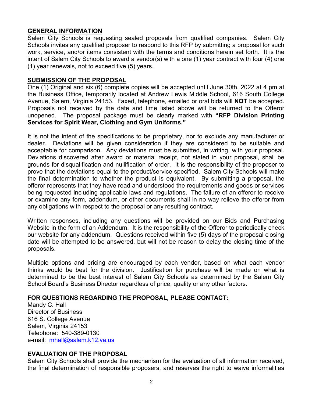## **GENERAL INFORMATION**

Salem City Schools is requesting sealed proposals from qualified companies. Salem City Schools invites any qualified proposer to respond to this RFP by submitting a proposal for such work, service, and/or items consistent with the terms and conditions herein set forth. It is the intent of Salem City Schools to award a vendor(s) with a one (1) year contract with four (4) one (1) year renewals, not to exceed five (5) years.

#### **SUBMISSION OF THE PROPOSAL**

One (1) Original and six (6) complete copies will be accepted until June 30th, 2022 at 4 pm at the Business Office, temporarily located at Andrew Lewis Middle School, 616 South College Avenue, Salem, Virginia 24153. Faxed, telephone, emailed or oral bids will **NOT** be accepted. Proposals not received by the date and time listed above will be returned to the Offeror unopened. The proposal package must be clearly marked with **"RFP Division Printing Services for Spirit Wear, Clothing and Gym Uniforms."**

It is not the intent of the specifications to be proprietary, nor to exclude any manufacturer or dealer. Deviations will be given consideration if they are considered to be suitable and acceptable for comparison. Any deviations must be submitted, in writing, with your proposal. Deviations discovered after award or material receipt, not stated in your proposal, shall be grounds for disqualification and nullification of order. It is the responsibility of the proposer to prove that the deviations equal to the product/service specified. Salem City Schools will make the final determination to whether the product is equivalent. By submitting a proposal, the offeror represents that they have read and understood the requirements and goods or services being requested including applicable laws and regulations. The failure of an offeror to receive or examine any form, addendum, or other documents shall in no way relieve the offeror from any obligations with respect to the proposal or any resulting contract.

Written responses, including any questions will be provided on our Bids and Purchasing Website in the form of an Addendum. It is the responsibility of the Offeror to periodically check our website for any addendum. Questions received within five (5) days of the proposal closing date will be attempted to be answered, but will not be reason to delay the closing time of the proposals.

Multiple options and pricing are encouraged by each vendor, based on what each vendor thinks would be best for the division. Justification for purchase will be made on what is determined to be the best interest of Salem City Schools as determined by the Salem City School Board's Business Director regardless of price, quality or any other factors.

## **FOR QUESTIONS REGARDING THE PROPOSAL, PLEASE CONTACT:**

Mandy C. Hall Director of Business 616 S. College Avenue Salem, Virginia 24153 Telephone: 540-389-0130 e-mail: [mhall@salem.k12.va.us](mailto:mhall@salem.k12.va.us)

## **EVALUATION OF THE PROPOSAL**

Salem City Schools shall provide the mechanism for the evaluation of all information received, the final determination of responsible proposers, and reserves the right to waive informalities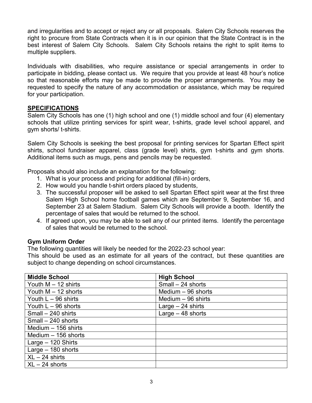and irregularities and to accept or reject any or all proposals. Salem City Schools reserves the right to procure from State Contracts when it is in our opinion that the State Contract is in the best interest of Salem City Schools. Salem City Schools retains the right to split items to multiple suppliers.

Individuals with disabilities, who require assistance or special arrangements in order to participate in bidding, please contact us. We require that you provide at least 48 hour's notice so that reasonable efforts may be made to provide the proper arrangements. You may be requested to specify the nature of any accommodation or assistance, which may be required for your participation.

## **SPECIFICATIONS**

Salem City Schools has one (1) high school and one (1) middle school and four (4) elementary schools that utilize printing services for spirit wear, t-shirts, grade level school apparel, and gym shorts/ t-shirts.

Salem City Schools is seeking the best proposal for printing services for Spartan Effect spirit shirts, school fundraiser apparel, class (grade level) shirts, gym t-shirts and gym shorts. Additional items such as mugs, pens and pencils may be requested.

Proposals should also include an explanation for the following:

- 1. What is your process and pricing for additional (fill-in) orders,
- 2. How would you handle t-shirt orders placed by students,
- 3. The successful proposer will be asked to sell Spartan Effect spirit wear at the first three Salem High School home football games which are September 9, September 16, and September 23 at Salem Stadium. Salem City Schools will provide a booth. Identify the percentage of sales that would be returned to the school.
- 4. If agreed upon, you may be able to sell any of our printed items. Identify the percentage of sales that would be returned to the school.

## **Gym Uniform Order**

The following quantities will likely be needed for the 2022-23 school year:

This should be used as an estimate for all years of the contract, but these quantities are subject to change depending on school circumstances.

| <b>Middle School</b>  | <b>High School</b>  |
|-----------------------|---------------------|
| Youth $M - 12$ shirts | Small - 24 shorts   |
| Youth $M - 12$ shorts | Medium $-96$ shorts |
| Youth $L - 96$ shirts | Medium $-96$ shirts |
| Youth $L - 96$ shorts | Large $-24$ shirts  |
| Small - 240 shirts    | Large $-48$ shorts  |
| Small - 240 shorts    |                     |
| Medium $-156$ shirts  |                     |
| Medium $-156$ shorts  |                     |
| Large $-120$ Shirts   |                     |
| Large $-180$ shorts   |                     |
| $XL - 24$ shirts      |                     |
| $XL - 24$ shorts      |                     |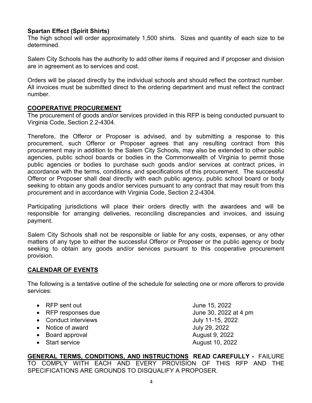## **Spartan Effect (Spirit Shirts)**

The high school will order approximately 1,500 shirts. Sizes and quantity of each size to be determined.

Salem City Schools has the authority to add other items if required and if proposer and division are in agreement as to services and cost.

Orders will be placed directly by the individual schools and should reflect the contract number. All invoices must be submitted direct to the ordering department and must reflect the contract number.

## **COOPERATIVE PROCUREMENT**

The procurement of goods and/or services provided in this RFP is being conducted pursuant to Virginia Code, Section 2.2-4304.

Therefore, the Offeror or Proposer is advised, and by submitting a response to this procurement, such Offeror or Proposer agrees that any resulting contract from this procurement may in addition to the Salem City Schools, may also be extended to other public agencies, public school boards or bodies in the Commonwealth of Virginia to permit those public agencies or bodies to purchase such goods and/or services at contract prices, in accordance with the terms, conditions, and specifications of this procurement. The successful Offeror or Proposer shall deal directly with each public agency, public school board or body seeking to obtain any goods and/or services pursuant to any contract that may result from this procurement and in accordance with Virginia Code, Section 2.2-4304.

Participating jurisdictions will place their orders directly with the awardees and will be responsible for arranging deliveries, reconciling discrepancies and invoices, and issuing payment.

Salem City Schools shall not be responsible or liable for any costs, expenses, or any other matters of any type to either the successful Offeror or Proposer or the public agency or body seeking to obtain any goods and/or services pursuant to this cooperative procurement provision.

## **CALENDAR OF EVENTS**

The following is a tentative outline of the schedule for selecting one or more offerors to provide services:

- RFP sent out June 15, 2022
- RFP responses due June 30, 2022 at 4 pm
- Conduct interviews and the state of the Uuly 11-15, 2022
- Notice of award July 29, 2022
- Board approval **August 9, 2022**
- 

• Start service August 10, 2022

**GENERAL TERMS, CONDITIONS, AND INSTRUCTIONS READ CAREFULLY -** FAILURE TO COMPLY WITH EACH AND EVERY PROVISION OF THIS RFP AND THE SPECIFICATIONS ARE GROUNDS TO DISQUALIFY A PROPOSER.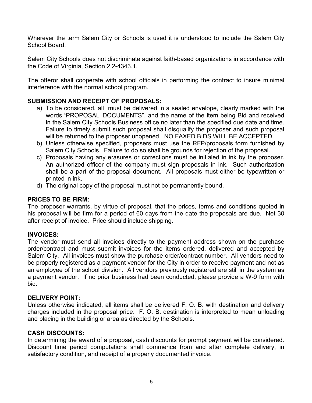Wherever the term Salem City or Schools is used it is understood to include the Salem City School Board.

Salem City Schools does not discriminate against faith-based organizations in accordance with the Code of Virginia, Section 2.2-4343.1.

The offeror shall cooperate with school officials in performing the contract to insure minimal interference with the normal school program.

## **SUBMISSION AND RECEIPT OF PROPOSALS:**

- a) To be considered, all must be delivered in a sealed envelope, clearly marked with the words "PROPOSAL DOCUMENTS", and the name of the item being Bid and received in the Salem City Schools Business office no later than the specified due date and time. Failure to timely submit such proposal shall disqualify the proposer and such proposal will be returned to the proposer unopened. NO FAXED BIDS WILL BE ACCEPTED.
- b) Unless otherwise specified, proposers must use the RFP/proposals form furnished by Salem City Schools. Failure to do so shall be grounds for rejection of the proposal.
- c) Proposals having any erasures or corrections must be initialed in ink by the proposer. An authorized officer of the company must sign proposals in ink. Such authorization shall be a part of the proposal document. All proposals must either be typewritten or printed in ink.
- d) The original copy of the proposal must not be permanently bound.

## **PRICES TO BE FIRM:**

The proposer warrants, by virtue of proposal, that the prices, terms and conditions quoted in his proposal will be firm for a period of 60 days from the date the proposals are due. Net 30 after receipt of invoice. Price should include shipping.

## **INVOICES:**

The vendor must send all invoices directly to the payment address shown on the purchase order/contract and must submit invoices for the items ordered, delivered and accepted by Salem City. All invoices must show the purchase order/contract number. All vendors need to be properly registered as a payment vendor for the City in order to receive payment and not as an employee of the school division. All vendors previously registered are still in the system as a payment vendor. If no prior business had been conducted, please provide a W-9 form with bid.

## **DELIVERY POINT:**

Unless otherwise indicated, all items shall be delivered F. O. B. with destination and delivery charges included in the proposal price. F. O. B. destination is interpreted to mean unloading and placing in the building or area as directed by the Schools.

## **CASH DISCOUNTS:**

In determining the award of a proposal, cash discounts for prompt payment will be considered. Discount time period computations shall commence from and after complete delivery, in satisfactory condition, and receipt of a properly documented invoice.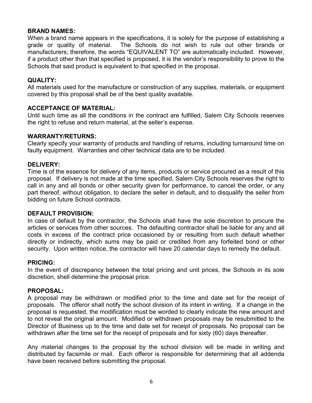#### **BRAND NAMES:**

When a brand name appears in the specifications, it is solely for the purpose of establishing a grade or quality of material. The Schools do not wish to rule out other brands or manufacturers; therefore, the words "EQUIVALENT TO" are automatically included. However, if a product other than that specified is proposed, it is the vendor's responsibility to prove to the Schools that said product is equivalent to that specified in the proposal.

#### **QUALITY:**

All materials used for the manufacture or construction of any supplies, materials, or equipment covered by this proposal shall be of the best quality available.

#### **ACCEPTANCE OF MATERIAL:**

Until such time as all the conditions in the contract are fulfilled, Salem City Schools reserves the right to refuse and return material, at the seller's expense.

#### **WARRANTY/RETURNS:**

Clearly specify your warranty of products and handling of returns, including turnaround time on faulty equipment. Warranties and other technical data are to be included.

#### **DELIVERY:**

Time is of the essence for delivery of any items, products or service procured as a result of this proposal. If delivery is not made at the time specified, Salem City Schools reserves the right to call in any and all bonds or other security given for performance, to cancel the order, or any part thereof, without obligation, to declare the seller in default, and to disqualify the seller from bidding on future School contracts.

## **DEFAULT PROVISION:**

In case of default by the contractor, the Schools shall have the sole discretion to procure the articles or services from other sources. The defaulting contractor shall be liable for any and all costs in excess of the contract price occasioned by or resulting from such default whether directly or indirectly, which sums may be paid or credited from any forfeited bond or other security. Upon written notice, the contractor will have 20 calendar days to remedy the default.

#### **PRICING:**

In the event of discrepancy between the total pricing and unit prices, the Schools in its sole discretion, shell determine the proposal price.

#### **PROPOSAL:**

A proposal may be withdrawn or modified prior to the time and date set for the receipt of proposals. The offeror shall notify the school division of its intent in writing. If a change in the proposal is requested, the modification must be worded to clearly indicate the new amount and to not reveal the original amount. Modified or withdrawn proposals may be resubmitted to the Director of Business up to the time and date set for receipt of proposals. No proposal can be withdrawn after the time set for the receipt of proposals and for sixty (60) days thereafter.

Any material changes to the proposal by the school division will be made in writing and distributed by facsimile or mail. Each offeror is responsible for determining that all addenda have been received before submitting the proposal.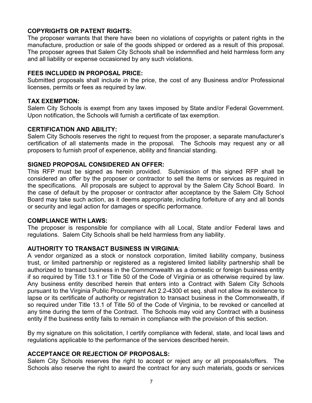## **COPYRIGHTS OR PATENT RIGHTS:**

The proposer warrants that there have been no violations of copyrights or patent rights in the manufacture, production or sale of the goods shipped or ordered as a result of this proposal. The proposer agrees that Salem City Schools shall be indemnified and held harmless form any and all liability or expense occasioned by any such violations.

## **FEES INCLUDED IN PROPOSAL PRICE:**

Submitted proposals shall include in the price, the cost of any Business and/or Professional licenses, permits or fees as required by law.

## **TAX EXEMPTION:**

Salem City Schools is exempt from any taxes imposed by State and/or Federal Government. Upon notification, the Schools will furnish a certificate of tax exemption.

## **CERTIFICATION AND ABILITY:**

Salem City Schools reserves the right to request from the proposer, a separate manufacturer's certification of all statements made in the proposal. The Schools may request any or all proposers to furnish proof of experience, ability and financial standing.

## **SIGNED PROPOSAL CONSIDERED AN OFFER:**

This RFP must be signed as herein provided. Submission of this signed RFP shall be considered an offer by the proposer or contractor to sell the items or services as required in the specifications. All proposals are subject to approval by the Salem City School Board. In the case of default by the proposer or contractor after acceptance by the Salem City School Board may take such action, as it deems appropriate, including forfeiture of any and all bonds or security and legal action for damages or specific performance.

## **COMPLIANCE WITH LAWS:**

The proposer is responsible for compliance with all Local, State and/or Federal laws and regulations. Salem City Schools shall be held harmless from any liability.

## **AUTHORITY TO TRANSACT BUSINESS IN VIRGINIA**:

A vendor organized as a stock or nonstock corporation, limited liability company, business trust, or limited partnership or registered as a registered limited liability partnership shall be authorized to transact business in the Commonwealth as a domestic or foreign business entity if so required by Title 13.1 or Title 50 of the Code of Virginia or as otherwise required by law. Any business entity described herein that enters into a Contract with Salem City Schools pursuant to the Virginia Public Procurement Act 2.2-4300 et seq. shall not allow its existence to lapse or its certificate of authority or registration to transact business in the Commonwealth, if so required under Title 13.1 of Title 50 of the Code of Virginia, to be revoked or cancelled at any time during the term of the Contract. The Schools may void any Contract with a business entity if the business entity fails to remain in compliance with the provision of this section.

By my signature on this solicitation, I certify compliance with federal, state, and local laws and regulations applicable to the performance of the services described herein.

## **ACCEPTANCE OR REJECTION OF PROPOSALS:**

Salem City Schools reserves the right to accept or reject any or all proposals/offers. The Schools also reserve the right to award the contract for any such materials, goods or services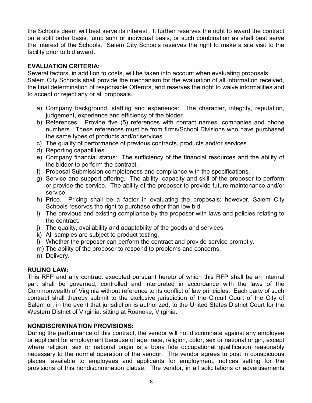the Schools deem will best serve its interest. It further reserves the right to award the contract on a split order basis, lump sum or individual basis, or such combination as shall best serve the interest of the Schools. Salem City Schools reserves the right to make a site visit to the facility prior to bid award.

## **EVALUATION CRITERIA:**

Several factors, in addition to costs, will be taken into account when evaluating proposals: Salem City Schools shall provide the mechanism for the evaluation of all information received, the final determination of responsible Offerors, and reserves the right to waive informalities and to accept or reject any or all proposals.

- a) Company background, staffing and experience: The character, integrity, reputation, judgement, experience and efficiency of the bidder.
- b) References: Provide five (5) references with contact names, companies and phone numbers. These references must be from firms/School Divisions who have purchased the same types of products and/or services.
- c) The quality of performance of previous contracts, products and/or services.
- d) Reporting capabilities.
- e) Company financial status: The sufficiency of the financial resources and the ability of the bidder to perform the contract.
- f) Proposal Submission completeness and compliance with the specifications.
- g) Service and support offering. The ability, capacity and skill of the proposer to perform or provide the service. The ability of the proposer to provide future maintenance and/or service.
- h) Price. Pricing shall be a factor in evaluating the proposals; however, Salem City Schools reserves the right to purchase other than low bid.
- i) The previous and existing compliance by the proposer with laws and policies relating to the contract.
- j) The quality, availability and adaptability of the goods and services.
- k) All samples are subject to product testing.
- l) Whether the proposer can perform the contract and provide service promptly.
- m) The ability of the proposer to respond to problems and concerns.
- n) Delivery.

## **RULING LAW:**

This RFP and any contract executed pursuant hereto of which this RFP shall be an internal part shall be governed, controlled and interpreted in accordance with the laws of the Commonwealth of Virginia without reference to its conflict of law principles. Each party of such contract shall thereby submit to the exclusive jurisdiction of the Circuit Court of the City of Salem or, in the event that jurisdiction is authorized, to the United States District Court for the Western District of Virginia, sitting at Roanoke, Virginia.

## **NONDISCRIMINATION PROVISIONS:**

During the performance of this contract, the vendor will not discriminate against any employee or applicant for employment because of age, race, religion, color, sex or national origin, except where religion, sex or national origin is a bona fide occupational qualification reasonably necessary to the normal operation of the vendor. The vendor agrees to post in conspicuous places, available to employees and applicants for employment, notices setting for the provisions of this nondiscrimination clause. The vendor, in all solicitations or advertisements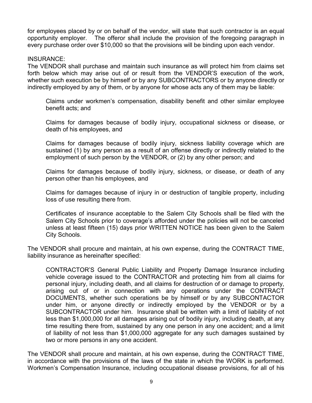for employees placed by or on behalf of the vendor, will state that such contractor is an equal opportunity employer. The offeror shall include the provision of the foregoing paragraph in every purchase order over \$10,000 so that the provisions will be binding upon each vendor.

#### INSURANCE:

The VENDOR shall purchase and maintain such insurance as will protect him from claims set forth below which may arise out of or result from the VENDOR'S execution of the work, whether such execution be by himself or by any SUBCONTRACTORS or by anyone directly or indirectly employed by any of them, or by anyone for whose acts any of them may be liable:

Claims under workmen's compensation, disability benefit and other similar employee benefit acts; and

Claims for damages because of bodily injury, occupational sickness or disease, or death of his employees, and

Claims for damages because of bodily injury, sickness liability coverage which are sustained (1) by any person as a result of an offense directly or indirectly related to the employment of such person by the VENDOR, or (2) by any other person; and

Claims for damages because of bodily injury, sickness, or disease, or death of any person other than his employees, and

Claims for damages because of injury in or destruction of tangible property, including loss of use resulting there from.

Certificates of insurance acceptable to the Salem City Schools shall be filed with the Salem City Schools prior to coverage's afforded under the policies will not be canceled unless at least fifteen (15) days prior WRITTEN NOTICE has been given to the Salem City Schools.

The VENDOR shall procure and maintain, at his own expense, during the CONTRACT TIME, liability insurance as hereinafter specified:

CONTRACTOR'S General Public Liability and Property Damage Insurance including vehicle coverage issued to the CONTRACTOR and protecting him from all claims for personal injury, including death, and all claims for destruction of or damage to property, arising out of or in connection with any operations under the CONTRACT DOCUMENTS, whether such operations be by himself or by any SUBCONTACTOR under him, or anyone directly or indirectly employed by the VENDOR or by a SUBCONTRACTOR under him. Insurance shall be written with a limit of liability of not less than \$1,000,000 for all damages arising out of bodily injury, including death, at any time resulting there from, sustained by any one person in any one accident; and a limit of liability of not less than \$1,000,000 aggregate for any such damages sustained by two or more persons in any one accident.

The VENDOR shall procure and maintain, at his own expense, during the CONTRACT TIME, in accordance with the provisions of the laws of the state in which the WORK is performed. Workmen's Compensation Insurance, including occupational disease provisions, for all of his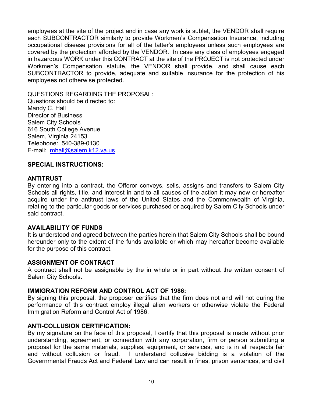employees at the site of the project and in case any work is sublet, the VENDOR shall require each SUBCONTRACTOR similarly to provide Workmen's Compensation Insurance, including occupational disease provisions for all of the latter's employees unless such employees are covered by the protection afforded by the VENDOR. In case any class of employees engaged in hazardous WORK under this CONTRACT at the site of the PROJECT is not protected under Workmen's Compensation statute, the VENDOR shall provide, and shall cause each SUBCONTRACTOR to provide, adequate and suitable insurance for the protection of his employees not otherwise protected.

QUESTIONS REGARDING THE PROPOSAL: Questions should be directed to: Mandy C. Hall Director of Business Salem City Schools 616 South College Avenue Salem, Virginia 24153 Telephone: 540-389-0130 E-mail: [mhall@salem.k12.va.us](mailto:mhall@salem.k12.va.us)

## **SPECIAL INSTRUCTIONS:**

#### **ANTITRUST**

By entering into a contract, the Offeror conveys, sells, assigns and transfers to Salem City Schools all rights, title, and interest in and to all causes of the action it may now or hereafter acquire under the antitrust laws of the United States and the Commonwealth of Virginia, relating to the particular goods or services purchased or acquired by Salem City Schools under said contract.

#### **AVAILABILITY OF FUNDS**

It is understood and agreed between the parties herein that Salem City Schools shall be bound hereunder only to the extent of the funds available or which may hereafter become available for the purpose of this contract.

#### **ASSIGNMENT OF CONTRACT**

A contract shall not be assignable by the in whole or in part without the written consent of Salem City Schools.

#### **IMMIGRATION REFORM AND CONTROL ACT OF 1986:**

By signing this proposal, the proposer certifies that the firm does not and will not during the performance of this contract employ illegal alien workers or otherwise violate the Federal Immigration Reform and Control Act of 1986.

#### **ANTI-COLLUSION CERTIFICATION:**

By my signature on the face of this proposal, I certify that this proposal is made without prior understanding, agreement, or connection with any corporation, firm or person submitting a proposal for the same materials, supplies, equipment, or services, and is in all respects fair and without collusion or fraud. I understand collusive bidding is a violation of the Governmental Frauds Act and Federal Law and can result in fines, prison sentences, and civil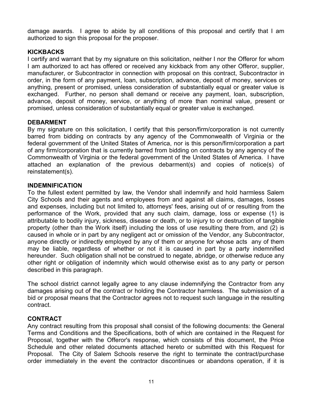damage awards. I agree to abide by all conditions of this proposal and certify that I am authorized to sign this proposal for the proposer.

## **KICKBACKS**

I certify and warrant that by my signature on this solicitation, neither I nor the Offeror for whom I am authorized to act has offered or received any kickback from any other Offeror, supplier, manufacturer, or Subcontractor in connection with proposal on this contract, Subcontractor in order, in the form of any payment, loan, subscription, advance, deposit of money, services or anything, present or promised, unless consideration of substantially equal or greater value is exchanged. Further, no person shall demand or receive any payment, loan, subscription, advance, deposit of money, service, or anything of more than nominal value, present or promised, unless consideration of substantially equal or greater value is exchanged.

## **DEBARMENT**

By my signature on this solicitation, I certify that this person/firm/corporation is not currently barred from bidding on contracts by any agency of the Commonwealth of Virginia or the federal government of the United States of America, nor is this person/firm/corporation a part of any firm/corporation that is currently barred from bidding on contracts by any agency of the Commonwealth of Virginia or the federal government of the United States of America. I have attached an explanation of the previous debarment(s) and copies of notice(s) of reinstatement(s).

## **INDEMNIFICATION**

To the fullest extent permitted by law, the Vendor shall indemnify and hold harmless Salem City Schools and their agents and employees from and against all claims, damages, losses and expenses, including but not limited to, attorneys' fees, arising out of or resulting from the performance of the Work, provided that any such claim, damage, loss or expense (1) is attributable to bodily injury, sickness, disease or death, or to injury to or destruction of tangible property (other than the Work itself) including the loss of use resulting there from, and (2) is caused in whole or in part by any negligent act or omission of the Vendor, any Subcontractor, anyone directly or indirectly employed by any of them or anyone for whose acts any of them may be liable, regardless of whether or not it is caused in part by a party indemnified hereunder. Such obligation shall not be construed to negate, abridge, or otherwise reduce any other right or obligation of indemnity which would otherwise exist as to any party or person described in this paragraph.

The school district cannot legally agree to any clause indemnifying the Contractor from any damages arising out of the contract or holding the Contractor harmless. The submission of a bid or proposal means that the Contractor agrees not to request such language in the resulting contract.

## **CONTRACT**

Any contract resulting from this proposal shall consist of the following documents: the General Terms and Conditions and the Specifications, both of which are contained in the Request for Proposal, together with the Offeror's response, which consists of this document, the Price Schedule and other related documents attached hereto or submitted with this Request for Proposal. The City of Salem Schools reserve the right to terminate the contract/purchase order immediately in the event the contractor discontinues or abandons operation, if it is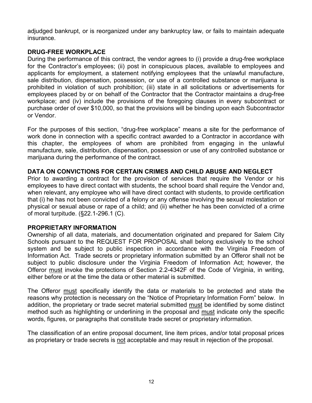adjudged bankrupt, or is reorganized under any bankruptcy law, or fails to maintain adequate insurance.

## **DRUG-FREE WORKPLACE**

During the performance of this contract, the vendor agrees to (i) provide a drug-free workplace for the Contractor's employees; (ii) post in conspicuous places, available to employees and applicants for employment, a statement notifying employees that the unlawful manufacture, sale distribution, dispensation, possession, or use of a controlled substance or marijuana is prohibited in violation of such prohibition; (iii) state in all solicitations or advertisements for employees placed by or on behalf of the Contractor that the Contractor maintains a drug-free workplace; and (iv) include the provisions of the foregoing clauses in every subcontract or purchase order of over \$10,000, so that the provisions will be binding upon each Subcontractor or Vendor.

For the purposes of this section, "drug-free workplace" means a site for the performance of work done in connection with a specific contract awarded to a Contractor in accordance with this chapter, the employees of whom are prohibited from engaging in the unlawful manufacture, sale, distribution, dispensation, possession or use of any controlled substance or marijuana during the performance of the contract.

## **DATA ON CONVICTIONS FOR CERTAIN CRIMES AND CHILD ABUSE AND NEGLECT**

Prior to awarding a contract for the provision of services that require the Vendor or his employees to have direct contact with students, the school board shall require the Vendor and, when relevant, any employee who will have direct contact with students, to provide certification that (i) he has not been convicted of a felony or any offense involving the sexual molestation or physical or sexual abuse or rape of a child; and (ii) whether he has been convicted of a crime of moral turpitude. (§22.1-296.1 (C).

## **PROPRIETARY INFORMATION**

Ownership of all data, materials, and documentation originated and prepared for Salem City Schools pursuant to the REQUEST FOR PROPOSAL shall belong exclusively to the school system and be subject to public inspection in accordance with the Virginia Freedom of Information Act. Trade secrets or proprietary information submitted by an Offeror shall not be subject to public disclosure under the Virginia Freedom of Information Act; however, the Offeror must invoke the protections of Section 2.2-4342F of the Code of Virginia, in writing, either before or at the time the data or other material is submitted.

The Offeror must specifically identify the data or materials to be protected and state the reasons why protection is necessary on the "Notice of Proprietary Information Form" below. In addition, the proprietary or trade secret material submitted must be identified by some distinct method such as highlighting or underlining in the proposal and must indicate only the specific words, figures, or paragraphs that constitute trade secret or proprietary information.

The classification of an entire proposal document, line item prices, and/or total proposal prices as proprietary or trade secrets is not acceptable and may result in rejection of the proposal.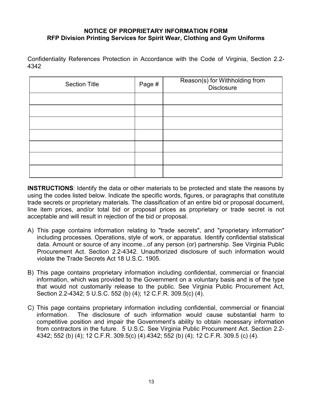## **NOTICE OF PROPRIETARY INFORMATION FORM RFP Division Printing Services for Spirit Wear, Clothing and Gym Uniforms**

Confidentiality References Protection in Accordance with the Code of Virginia, Section 2.2- 4342

| <b>Section Title</b> | Page # | Reason(s) for Withholding from<br>Disclosure |
|----------------------|--------|----------------------------------------------|
|                      |        |                                              |
|                      |        |                                              |
|                      |        |                                              |
|                      |        |                                              |
|                      |        |                                              |
|                      |        |                                              |
|                      |        |                                              |

**INSTRUCTIONS**: Identify the data or other materials to be protected and state the reasons by using the codes listed below. Indicate the specific words, figures, or paragraphs that constitute trade secrets or proprietary materials. The classification of an entire bid or proposal document, line item prices, and/or total bid or proposal prices as proprietary or trade secret is not acceptable and will result in rejection of the bid or proposal.

- A) This page contains information relating to "trade secrets", and "proprietary information" including processes. Operations, style of work, or apparatus. Identify confidential statistical data. Amount or source of any income...of any person (or) partnership. See Virginia Public Procurement Act. Section 2.2-4342. Unauthorized disclosure of such information would violate the Trade Secrets Act 18 U.S.C. 1905.
- B) This page contains proprietary information including confidential, commercial or financial information, which was provided to the Government on a voluntary basis and is of the type that would not customarily release to the public. See Virginia Public Procurement Act, Section 2.2-4342; 5 U.S.C. 552 (b) (4); 12 C.F.R. 309.5(c) (4).
- C) This page contains proprietary information including confidential, commercial or financial information. The disclosure of such information would cause substantial harm to competitive position and impair the Government's ability to obtain necessary information from contractors in the future. 5 U.S.C. See Virginia Public Procurement Act. Section 2.2- 4342; 552 (b) (4); 12 C.F.R. 309.5(c) (4).4342; 552 (b) (4); 12 C.F.R. 309.5 (c) (4).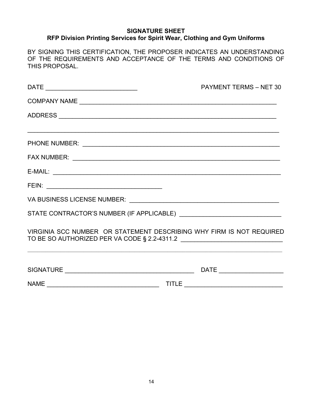## **SIGNATURE SHEET RFP Division Printing Services for Spirit Wear, Clothing and Gym Uniforms**

BY SIGNING THIS CERTIFICATION, THE PROPOSER INDICATES AN UNDERSTANDING OF THE REQUIREMENTS AND ACCEPTANCE OF THE TERMS AND CONDITIONS OF THIS PROPOSAL.

|                                                                                                                                                                                                                         | <b>PAYMENT TERMS - NET 30</b> |
|-------------------------------------------------------------------------------------------------------------------------------------------------------------------------------------------------------------------------|-------------------------------|
|                                                                                                                                                                                                                         |                               |
|                                                                                                                                                                                                                         |                               |
|                                                                                                                                                                                                                         |                               |
|                                                                                                                                                                                                                         |                               |
|                                                                                                                                                                                                                         |                               |
|                                                                                                                                                                                                                         |                               |
|                                                                                                                                                                                                                         |                               |
|                                                                                                                                                                                                                         |                               |
|                                                                                                                                                                                                                         |                               |
| VIRGINIA SCC NUMBER OR STATEMENT DESCRIBING WHY FIRM IS NOT REQUIRED<br>,我们也不能在这里的时候,我们也不能在这里的时候,我们也不能会不能会不能会不能会不能会不能会不能会不能会不能会不能会。<br>第2012章 我们的时候,我们的时候,我们的时候,我们的时候,我们的时候,我们的时候,我们的时候,我们的时候,我们的时候,我们的时候,我们的时候,我们的时候,我 |                               |
|                                                                                                                                                                                                                         |                               |
|                                                                                                                                                                                                                         |                               |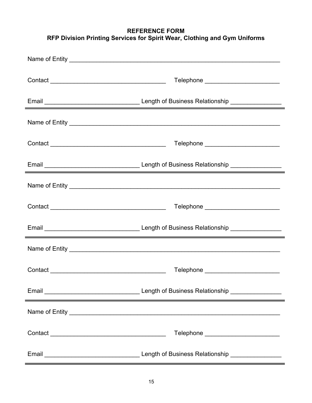## **REFERENCE FORM RFP Division Printing Services for Spirit Wear, Clothing and Gym Uniforms**

| Telephone ___________________________                                                                                 |
|-----------------------------------------------------------------------------------------------------------------------|
|                                                                                                                       |
|                                                                                                                       |
| Telephone _________________________                                                                                   |
| <u> 1989 - Johann Barn, mars et al. 1989 - Anna ann an t-Anna ann an t-Anna ann an t-Anna ann an t-Anna ann an t-</u> |
|                                                                                                                       |
| Telephone __________________________                                                                                  |
| <u> 1989 - Jan Samuel Barbara, margaret a shekara 1989 - Shekara ta 1989 - Shekara ta 1989 - Shekara ta 1980 - Sh</u> |
|                                                                                                                       |
| Telephone ___________________________                                                                                 |
| <u> 2000 - Andrea Andrewski, amerikansk politik (d. 1982)</u>                                                         |
|                                                                                                                       |
| Telephone _________________________                                                                                   |
|                                                                                                                       |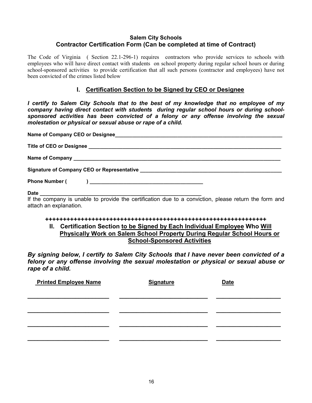#### **Salem City Schools Contractor Certification Form (Can be completed at time of Contract)**

The Code of Virginia ( Section 22.1-296-1) requires contractors who provide services to schools with employees who will have direct contact with students on school property during regular school hours or during school-sponsored activities to provide certification that all such persons (contractor and employees) have not been convicted of the crimes listed below

## **I. Certification Section to be Signed by CEO or Designee**

*I certify to Salem City Schools that to the best of my knowledge that no employee of my company having direct contact with students during regular school hours or during schoolsponsored activities has been convicted of a felony or any offense involving the sexual molestation or physical or sexual abuse or rape of a child.*

| If the company is unable to provide the certification due to a conviction, please return the form and |
|-------------------------------------------------------------------------------------------------------|

If the company is unable to provide the certification due to a conviction, please return the form and attach an explanation.

#### **++++++++++++++++++++++++++++++++++++++++++++++++++++++++++++++**

## **II. Certification Section to be Signed by Each Individual Employee Who Will Physically Work on Salem School Property During Regular School Hours or School-Sponsored Activities**

*By signing below, I certify to Salem City Schools that I have never been convicted of a felony or any offense involving the sexual molestation or physical or sexual abuse or rape of a child.*

| <b>Signature</b> | <b>Date</b> |
|------------------|-------------|
|                  |             |
|                  |             |
|                  |             |
|                  |             |
|                  |             |
|                  |             |